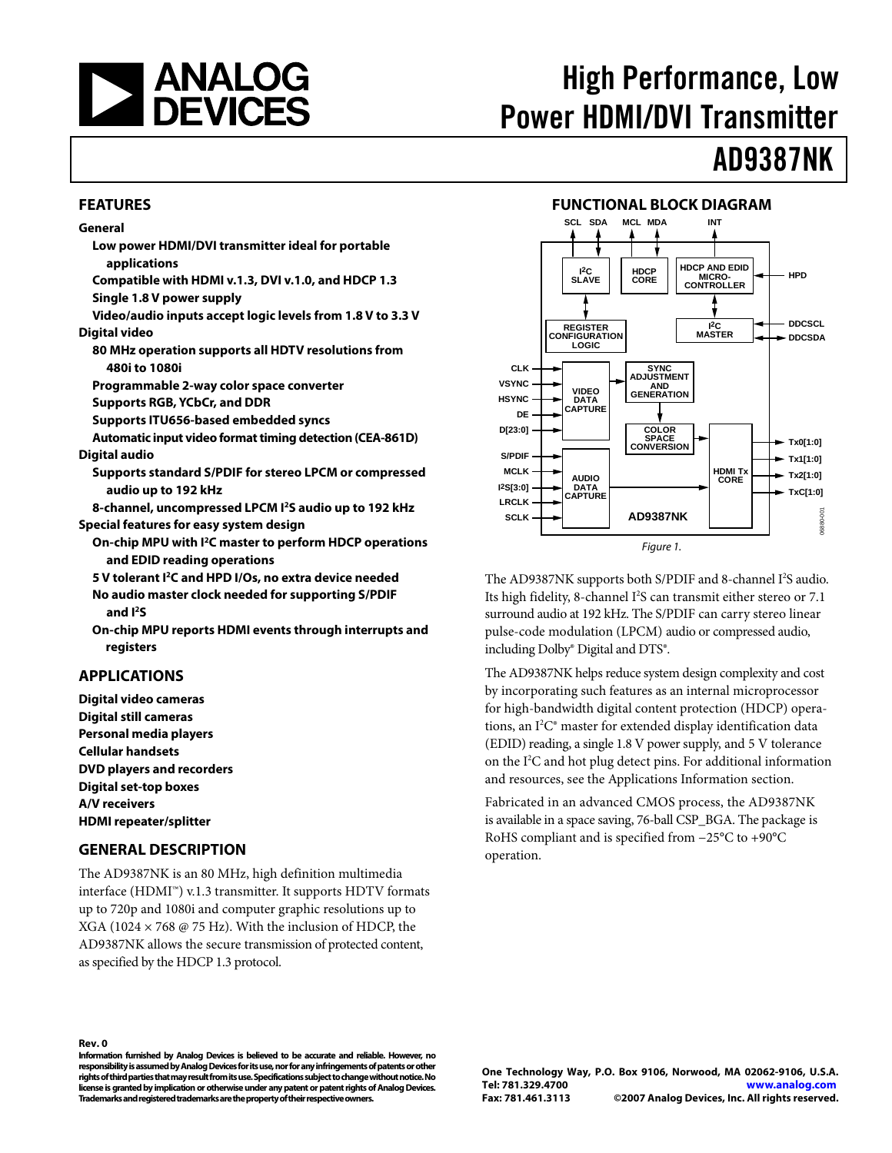<span id="page-0-0"></span>

# High Performance, Low Power HDMI/DVI Transmitter

# AD9387NK

#### **FEATURES**

#### **General**

- **Low power HDMI/DVI transmitter ideal for portable applications**
- **Compatible with HDMI v.1.3, DVI v.1.0, and HDCP 1.3 Single 1.8 V power supply**
- **Video/audio inputs accept logic levels from 1.8 V to 3.3 V Digital video** 
	- **80 MHz operation supports all HDTV resolutions from 480i to 1080i**

**Programmable 2-way color space converter** 

- **Supports RGB, YCbCr, and DDR**
- **Supports ITU656-based embedded syncs**
- **Automatic input video format timing detection (CEA-861D) Digital audio** 
	- **Supports standard S/PDIF for stereo LPCM or compressed audio up to 192 kHz**

**8-channel, uncompressed LPCM I2S audio up to 192 kHz Special features for easy system design** 

- **On-chip MPU with I2C master to perform HDCP operations and EDID reading operations**
- **5 V tolerant I2C and HPD I/Os, no extra device needed No audio master clock needed for supporting S/PDIF and I2S**
- **On-chip MPU reports HDMI events through interrupts and registers**

#### **APPLICATIONS**

**Digital video cameras Digital still cameras Personal media players Cellular handsets DVD players and recorders Digital set-top boxes A/V receivers HDMI repeater/splitter** 

#### **GENERAL DESCRIPTION**

The AD9387NK is an 80 MHz, high definition multimedia interface (HDMI™) v.1.3 transmitter. It supports HDTV formats up to 720p and 1080i and computer graphic resolutions up to XGA (1024  $\times$  768 @ 75 Hz). With the inclusion of HDCP, the AD9387NK allows the secure transmission of protected content, as specified by the HDCP 1.3 protocol.



The AD9387NK supports both S/PDIF and 8-channel I<sup>2</sup>S audio. Its high fidelity, 8-channel I<sup>2</sup>S can transmit either stereo or 7.1 surround audio at 192 kHz. The S/PDIF can carry stereo linear pulse-code modulation (LPCM) audio or compressed audio, including Dolby® Digital and DTS®.

**Fax: Fax: Fax: Fax: Fax: Fax: Fax: Fax: Fax: Fax: Fax: Fax: Fax: Fax: Fax: Fax: Fax: Fax: Fax: Fax: Fax: Fax: Fax: Fax: Fax: Fax: Fax: Fax: Fax: Fax: Fax: Fax:** The AD9387NK helps reduce system design complexity and cost by incorporating such features as an internal microprocessor for high-bandwidth digital content protection (HDCP) operations, an I2 C® master for extended display identification data (EDID) reading, a single 1.8 V power supply, and 5 V tolerance on the I2 C and hot plug detect pins. For additional information and resources, see the [Applications Information](#page-4-0) section.

Fabricated in an advanced CMOS process, the AD9387NK is available in a space saving, 76-ball CSP\_BGA. The package is RoHS compliant and is specified from −25°C to +90°C operation.

#### **Rev. 0**

**Information furnished by Analog Devices is believed to be accurate and reliable. However, no responsibility is assumed by Analog Devices for its use, nor for any infringements of patents or other rights of third parties that may result from its use. Specifications subject to change without notice. No license is granted by implication or otherwise under any patent or patent rights of Analog Devices. Trademarks and registered trademarks are the property of their respective owners.**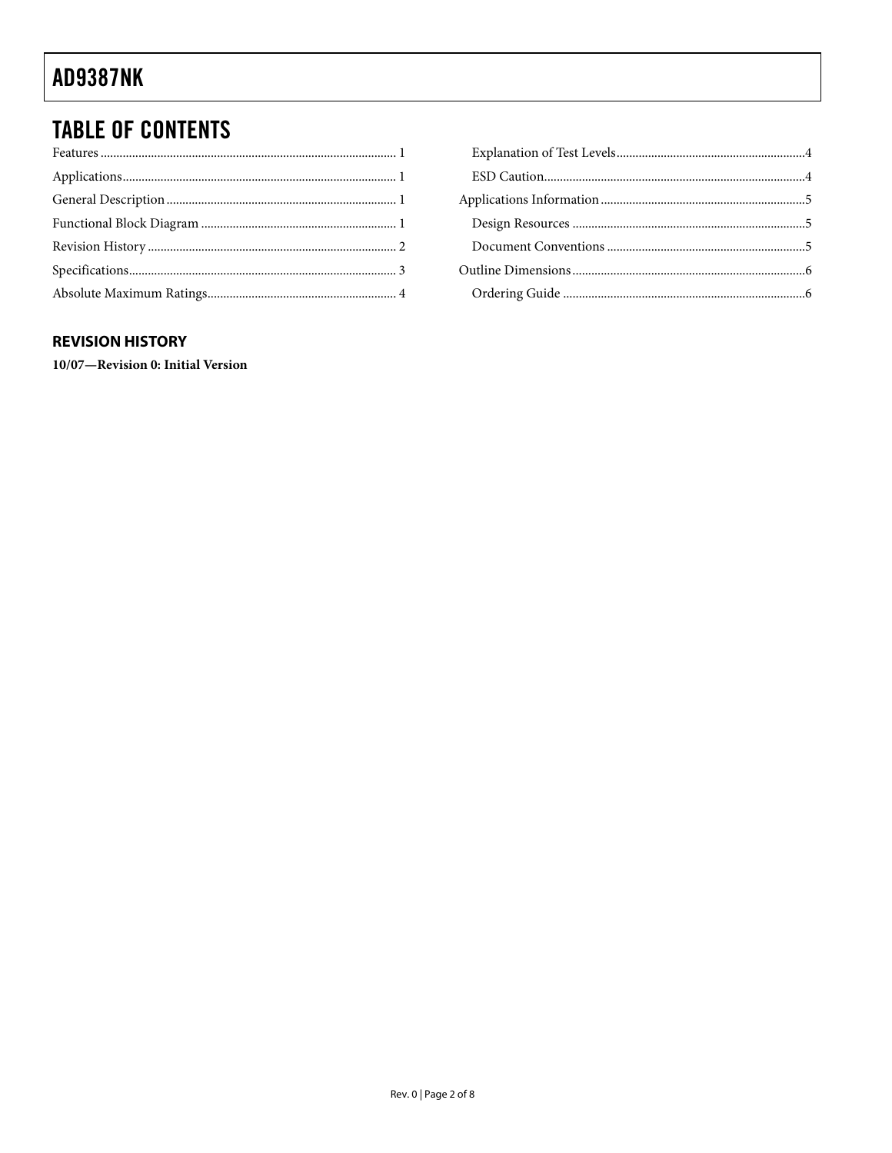## **TABLE OF CONTENTS**

### **REVISION HISTORY**

10/07-Revision 0: Initial Version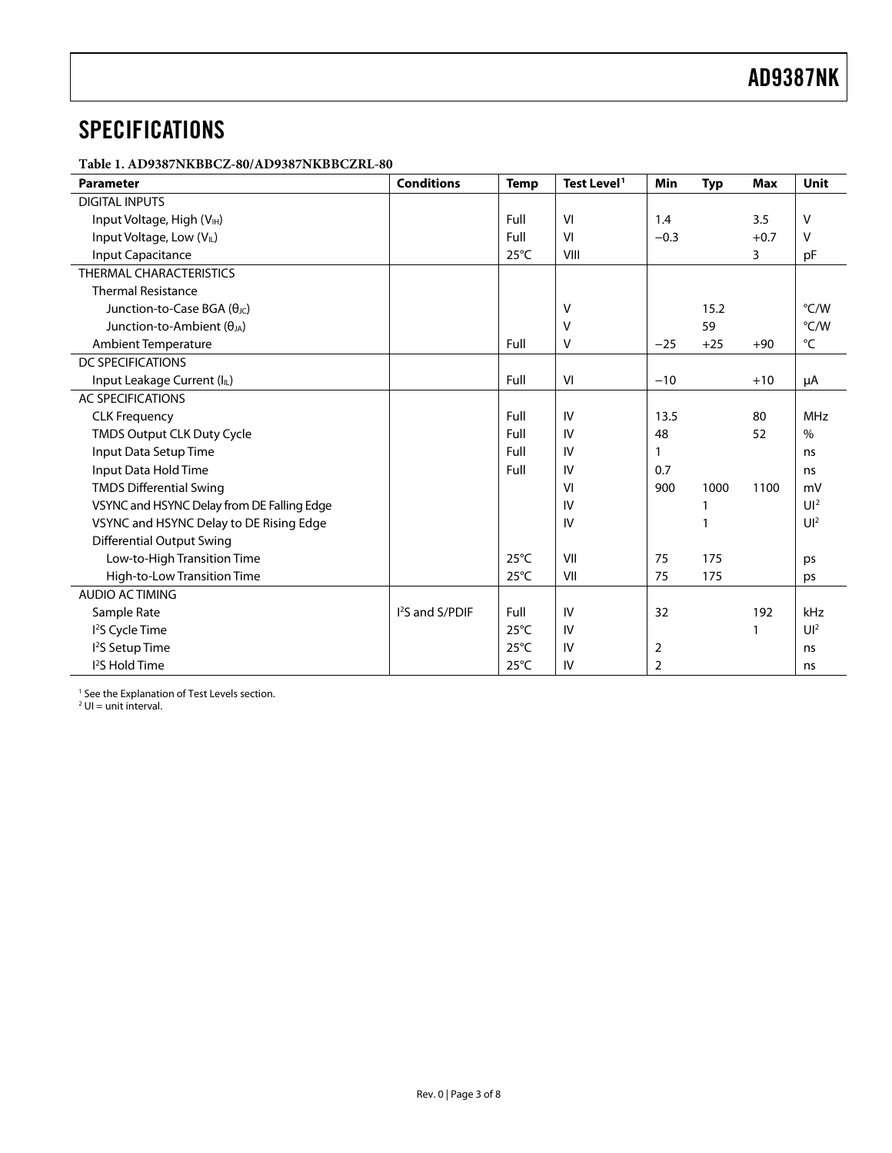## <span id="page-2-0"></span>**SPECIFICATIONS**

**Table 1. AD9387NKBBCZ-80/AD9387NKBBCZRL-80** 

| <b>Parameter</b>                            | <b>Conditions</b>           | <b>Temp</b>    | Test Level <sup>1</sup> | Min    | <b>Typ</b> | <b>Max</b> | Unit           |
|---------------------------------------------|-----------------------------|----------------|-------------------------|--------|------------|------------|----------------|
| <b>DIGITAL INPUTS</b>                       |                             |                |                         |        |            |            |                |
| Input Voltage, High (V <sub>IH</sub> )      |                             | Full           | VI                      | 1.4    |            | 3.5        | v              |
| Input Voltage, Low (VL)                     |                             | Full           | VI                      | $-0.3$ |            | $+0.7$     | v              |
| Input Capacitance                           |                             | $25^{\circ}$ C | VIII                    |        |            | 3          | pF             |
| <b>THERMAL CHARACTERISTICS</b>              |                             |                |                         |        |            |            |                |
| <b>Thermal Resistance</b>                   |                             |                |                         |        |            |            |                |
| Junction-to-Case BGA $(\theta_{\text{JC}})$ |                             |                | $\vee$                  |        | 15.2       |            | °C/W           |
| Junction-to-Ambient $(\theta_{JA})$         |                             |                | V                       |        | 59         |            | °C/W           |
| <b>Ambient Temperature</b>                  |                             | Full           | $\vee$                  | $-25$  | $+25$      | $+90$      | °C             |
| DC SPECIFICATIONS                           |                             |                |                         |        |            |            |                |
| Input Leakage Current (IL)                  |                             | Full           | VI                      | $-10$  |            | $+10$      | μA             |
| <b>AC SPECIFICATIONS</b>                    |                             |                |                         |        |            |            |                |
| <b>CLK Frequency</b>                        |                             | Full           | IV                      | 13.5   |            | 80         | <b>MHz</b>     |
| <b>TMDS Output CLK Duty Cycle</b>           |                             | Full           | IV                      | 48     |            | 52         | $\frac{0}{0}$  |
| Input Data Setup Time                       |                             | Full           | IV                      |        |            |            | ns             |
| Input Data Hold Time                        |                             | Full           | IV                      | 0.7    |            |            | ns             |
| <b>TMDS Differential Swing</b>              |                             |                | VI                      | 900    | 1000       | 1100       | mV             |
| VSYNC and HSYNC Delay from DE Falling Edge  |                             |                | IV                      |        |            |            | $U^2$          |
| VSYNC and HSYNC Delay to DE Rising Edge     |                             |                | IV                      |        |            |            | $U^2$          |
| <b>Differential Output Swing</b>            |                             |                |                         |        |            |            |                |
| Low-to-High Transition Time                 |                             | $25^{\circ}$ C | VII                     | 75     | 175        |            | ps             |
| High-to-Low Transition Time                 |                             | $25^{\circ}$ C | VII                     | 75     | 175        |            | ps             |
| <b>AUDIO ACTIMING</b>                       |                             |                |                         |        |            |            |                |
| Sample Rate                                 | I <sup>2</sup> S and S/PDIF | Full           | IV                      | 32     |            | 192        | kHz            |
| <sup>2</sup> S Cycle Time                   |                             | $25^{\circ}$ C | IV                      |        |            | 1          | U <sup>2</sup> |
| <sup>2</sup> S Setup Time                   |                             | $25^{\circ}$ C | IV                      | 2      |            |            | ns             |
| <sup>2</sup> S Hold Time                    |                             | $25^{\circ}$ C | IV                      | 2      |            |            | ns             |

<span id="page-2-1"></span><sup>1</sup> See the Explanation of Test Levels section.<br><sup>2</sup> UI = unit interval.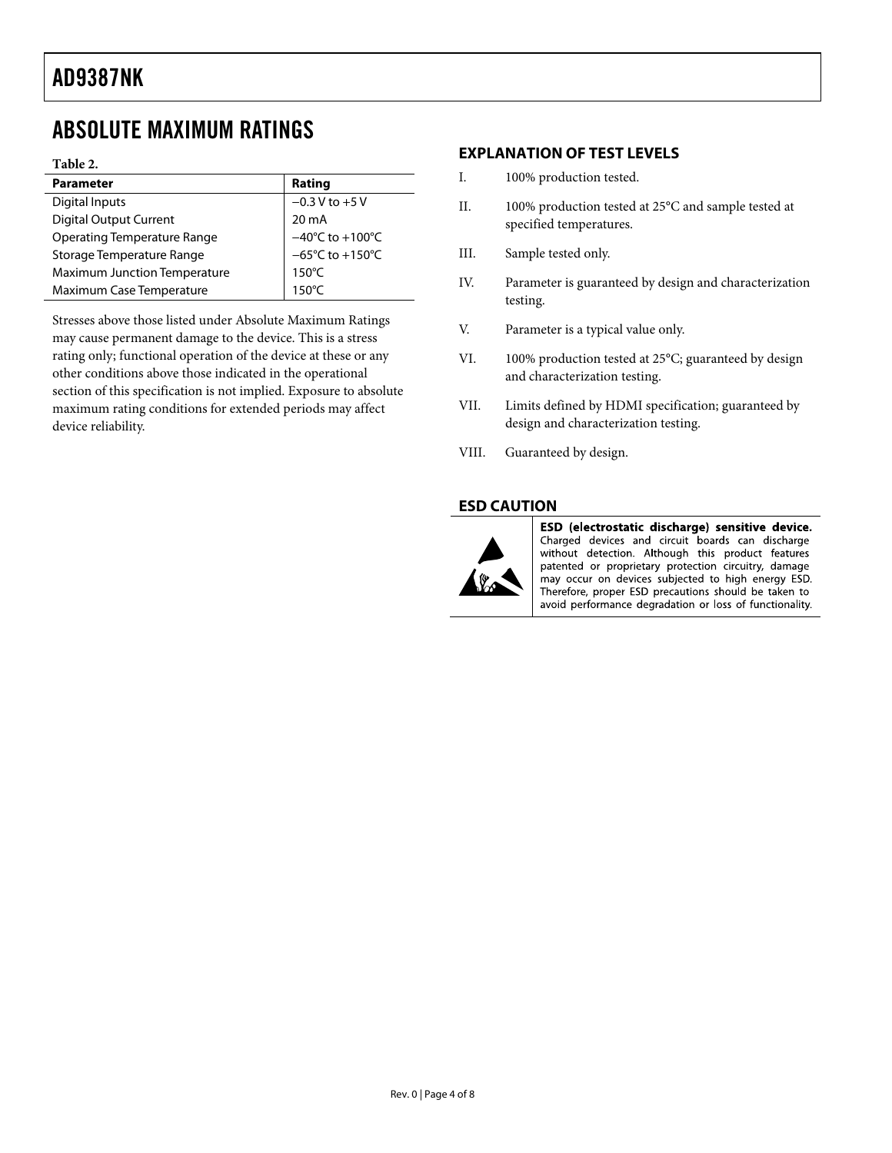### <span id="page-3-1"></span><span id="page-3-0"></span>ABSOLUTE MAXIMUM RATINGS

#### **Table 2.**

| <b>Parameter</b>                    | Rating                               |
|-------------------------------------|--------------------------------------|
| Digital Inputs                      | $-0.3 V$ to $+5 V$                   |
| <b>Digital Output Current</b>       | $20 \text{ mA}$                      |
| Operating Temperature Range         | $-40^{\circ}$ C to $+100^{\circ}$ C  |
| Storage Temperature Range           | $-65^{\circ}$ C to +150 $^{\circ}$ C |
| <b>Maximum Junction Temperature</b> | $150^{\circ}$ C                      |
| Maximum Case Temperature            | $150^{\circ}$ C                      |

Stresses above those listed under Absolute Maximum Ratings may cause permanent damage to the device. This is a stress rating only; functional operation of the device at these or any other conditions above those indicated in the operational section of this specification is not implied. Exposure to absolute maximum rating conditions for extended periods may affect device reliability.

#### **EXPLANATION OF TEST LEVELS**

- I. 100% production tested.
- II. 100% production tested at 25°C and sample tested at specified temperatures.
- III. Sample tested only.
- IV. Parameter is guaranteed by design and characterization testing.
- V. Parameter is a typical value only.
- VI. 100% production tested at 25°C; guaranteed by design and characterization testing.
- VII. Limits defined by HDMI specification; guaranteed by design and characterization testing.
- VIII. Guaranteed by design.

#### **ESD CAUTION**



ESD (electrostatic discharge) sensitive device. Charged devices and circuit boards can discharge without detection. Although this product features patented or proprietary protection circuitry, damage may occur on devices subjected to high energy ESD. Therefore, proper ESD precautions should be taken to avoid performance degradation or loss of functionality.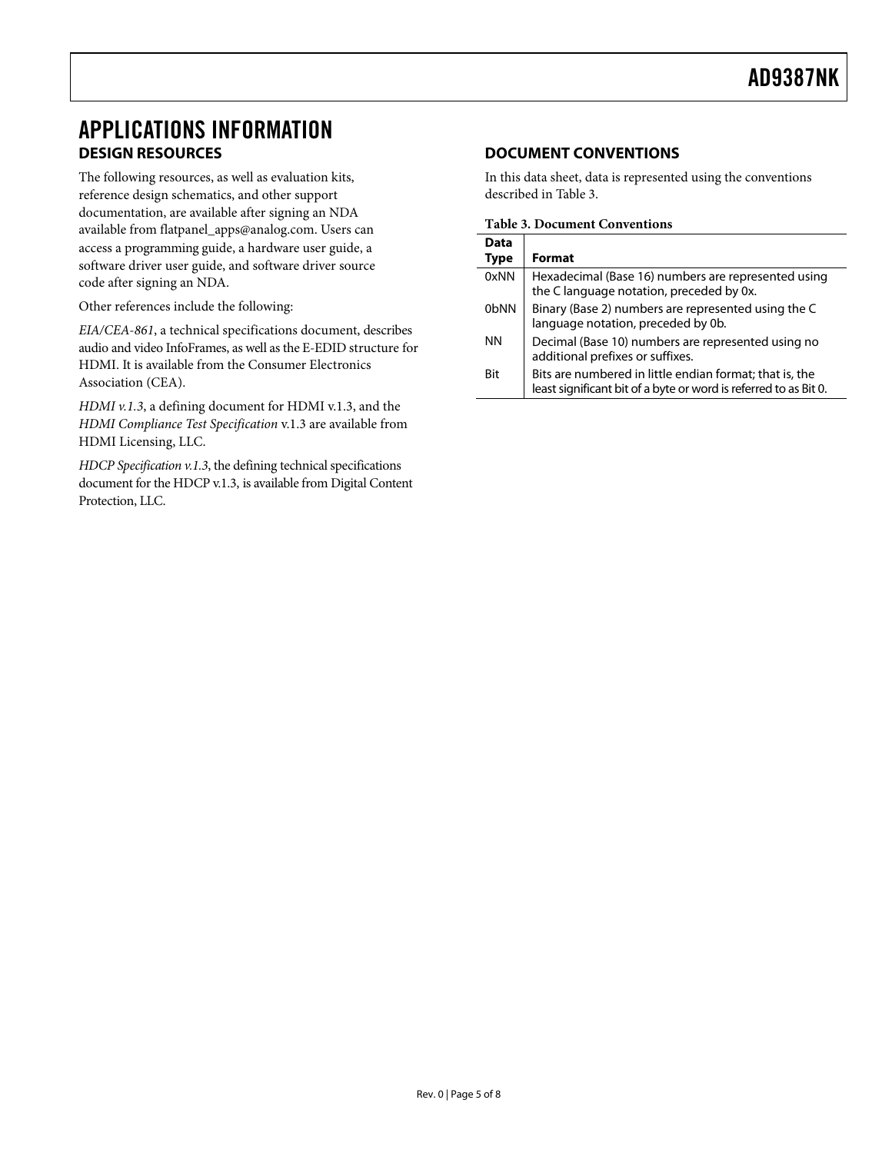### <span id="page-4-2"></span><span id="page-4-1"></span><span id="page-4-0"></span>APPLICATIONS INFORMATION **DESIGN RESOURCES**

The following resources, as well as evaluation kits, reference design schematics, and other support documentation, are available after signing an NDA available from [flatpanel\\_apps@analog.com.](mailto:flatpanel_apps@analog.com) Users can access a programming guide, a hardware user guide, a software driver user guide, and software driver source code after signing an NDA.

Other references include the following:

*EIA/CEA-861*, a technical specifications document, describes audio and video InfoFrames, as well as the E-EDID structure for HDMI. It is available from the Consumer Electronics Association (CEA).

*HDMI v.1.3*, a defining document for HDMI v.1.3, and the *HDMI Compliance Test Specification* v.1.3 are available from HDMI Licensing, LLC.

*HDCP Specification v.1.3*, the defining technical specifications document for the HDCP v.1.3, is available from Digital Content Protection, LLC.

### **DOCUMENT CONVENTIONS**

In this data sheet, data is represented using the conventions described in Table 3.

**Table 3. Document Conventions** 

| Data        |                                                                                                                             |
|-------------|-----------------------------------------------------------------------------------------------------------------------------|
| <b>Type</b> | <b>Format</b>                                                                                                               |
| 0xNN        | Hexadecimal (Base 16) numbers are represented using<br>the C language notation, preceded by 0x.                             |
| 0bNN        | Binary (Base 2) numbers are represented using the C<br>language notation, preceded by 0b.                                   |
| ΝN          | Decimal (Base 10) numbers are represented using no<br>additional prefixes or suffixes.                                      |
| Bit         | Bits are numbered in little endian format; that is, the<br>least significant bit of a byte or word is referred to as Bit 0. |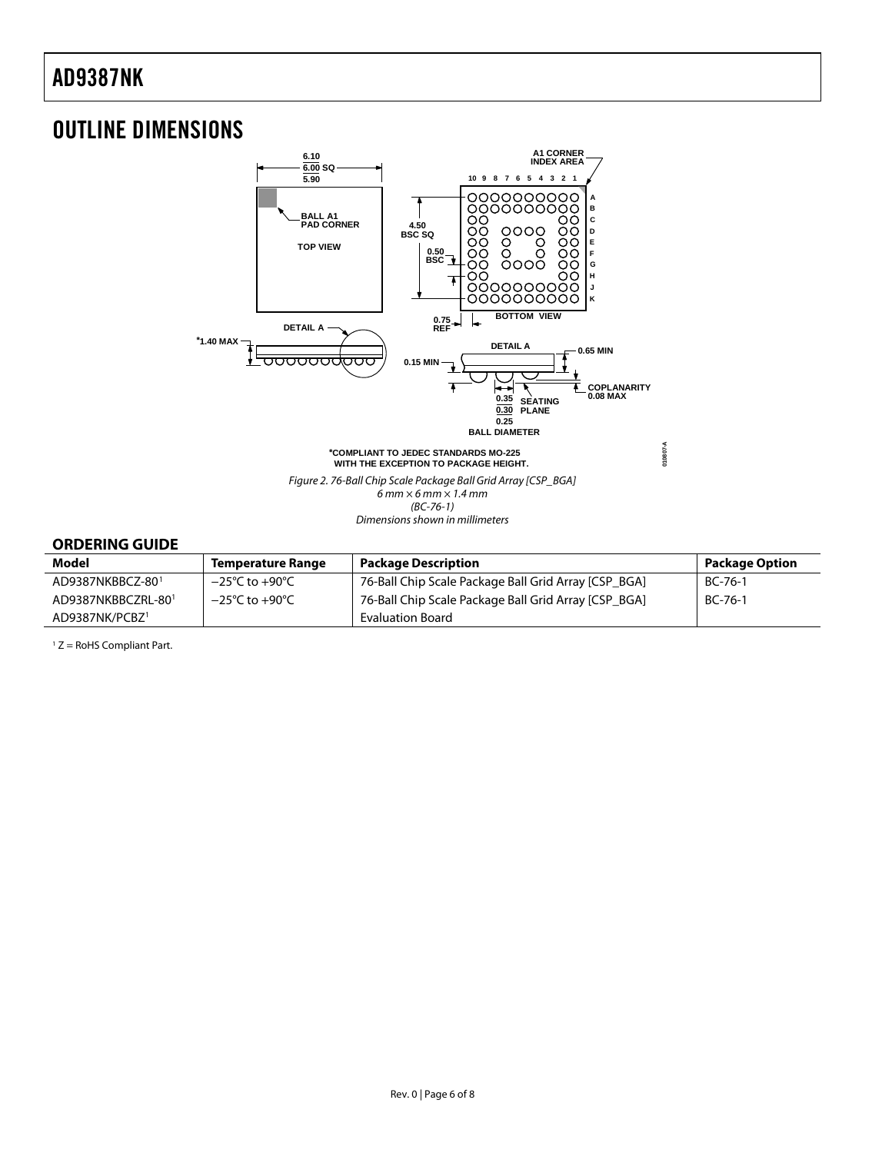### <span id="page-5-1"></span><span id="page-5-0"></span>OUTLINE DIMENSIONS



#### **ORDERING GUIDE**

| Model                      | <b>Temperature Range</b>           | <b>Package Description</b>                           | <b>Package Option</b> |
|----------------------------|------------------------------------|------------------------------------------------------|-----------------------|
| AD9387NKBBCZ-801           | $-25^{\circ}$ C to $+90^{\circ}$ C | 76-Ball Chip Scale Package Ball Grid Array [CSP_BGA] | BC-76-1               |
| AD9387NKBBCZRL-801         | $-25^{\circ}$ C to $+90^{\circ}$ C | 76-Ball Chip Scale Package Ball Grid Array [CSP BGA] | $BC-76-1$             |
| AD9387NK/PCBZ <sup>1</sup> |                                    | Evaluation Board                                     |                       |

 $1 Z =$  RoHS Compliant Part.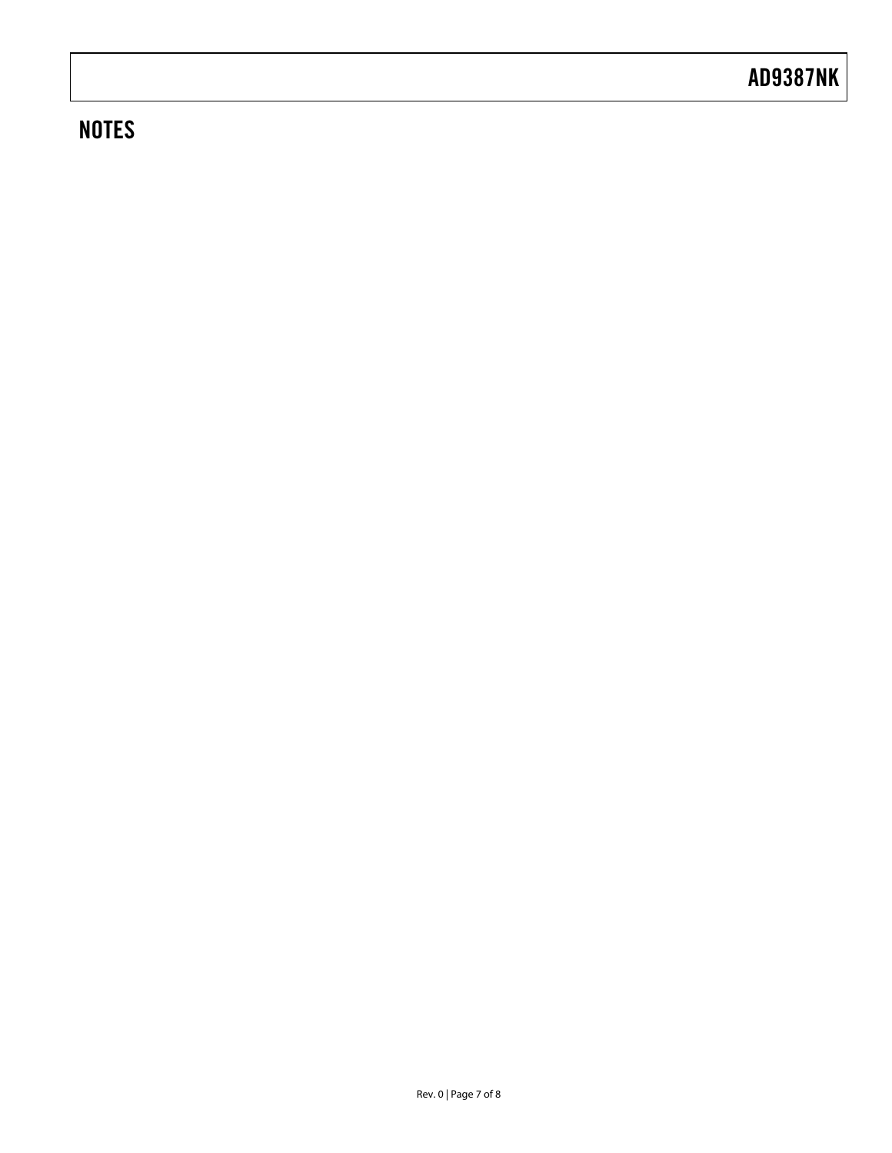### **NOTES**